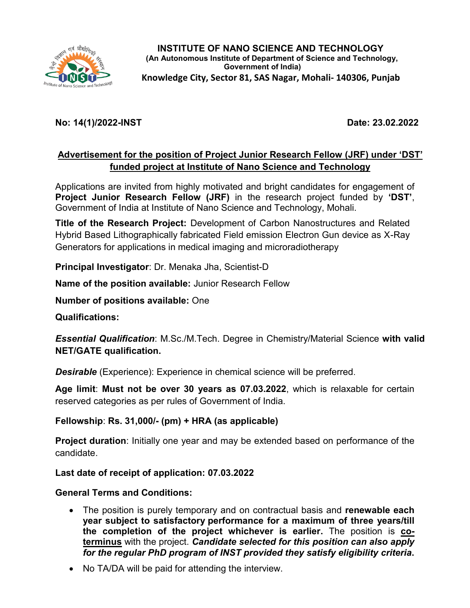

## **No: 14(1)/2022-INST Date: 23.02.2022**

## **Advertisement for the position of Project Junior Research Fellow (JRF) under 'DST' funded project at Institute of Nano Science and Technology**

Applications are invited from highly motivated and bright candidates for engagement of **Project Junior Research Fellow (JRF)** in the research project funded by **'DST'**, Government of India at Institute of Nano Science and Technology, Mohali.

**Title of the Research Project:** Development of Carbon Nanostructures and Related Hybrid Based Lithographically fabricated Field emission Electron Gun device as X-Ray Generators for applications in medical imaging and microradiotherapy

**Principal Investigator**: Dr. Menaka Jha, Scientist-D

**Name of the position available:** Junior Research Fellow

**Number of positions available:** One

**Qualifications:** 

*Essential Qualification*: M.Sc./M.Tech. Degree in Chemistry/Material Science **with valid NET/GATE qualification.**

*Desirable* (Experience): Experience in chemical science will be preferred.

**Age limit**: **Must not be over 30 years as 07.03.2022**, which is relaxable for certain reserved categories as per rules of Government of India.

**Fellowship**: **Rs. 31,000/- (pm) + HRA (as applicable)** 

**Project duration**: Initially one year and may be extended based on performance of the candidate.

**Last date of receipt of application: 07.03.2022**

**General Terms and Conditions:** 

- The position is purely temporary and on contractual basis and **renewable each year subject to satisfactory performance for a maximum of three years/till the completion of the project whichever is earlier.** The position is **coterminus** with the project. *Candidate selected for this position can also apply for the regular PhD program of INST provided they satisfy eligibility criteria***.**
- No TA/DA will be paid for attending the interview.